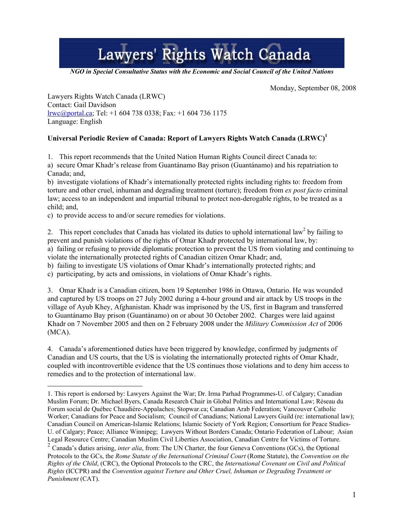## Lawyers' Rights Watch Canada

*NGO in Special Consultative Status with the Economic and Social Council of the United Nations* 

Monday, September 08, 2008

Lawyers Rights Watch Canada (LRWC) Contact: Gail Davidson lrwc@portal.ca; Tel: +1 604 738 0338; Fax: +1 604 736 1175 Language: English

## **Universal Periodic Review of Canada: Report of Lawyers Rights Watch Canada (LRWC)1**

1. This report recommends that the United Nation Human Rights Council direct Canada to: a) secure Omar Khadr's release from Guantánamo Bay prison (Guantánamo) and his repatriation to Canada; and,

b) investigate violations of Khadr's internationally protected rights including rights to: freedom from torture and other cruel, inhuman and degrading treatment (torture); freedom from *ex post facto* criminal law; access to an independent and impartial tribunal to protect non-derogable rights, to be treated as a child; and,

c) to provide access to and/or secure remedies for violations.

2. This report concludes that Canada has violated its duties to uphold international law<sup>2</sup> by failing to prevent and punish violations of the rights of Omar Khadr protected by international law, by: a) failing or refusing to provide diplomatic protection to prevent the US from violating and continuing to violate the internationally protected rights of Canadian citizen Omar Khadr; and,

b) failing to investigate US violations of Omar Khadr's internationally protected rights; and

c) participating, by acts and omissions, in violations of Omar Khadr's rights.

3. Omar Khadr is a Canadian citizen, born 19 September 1986 in Ottawa, Ontario. He was wounded and captured by US troops on 27 July 2002 during a 4-hour ground and air attack by US troops in the village of Ayub Khey, Afghanistan. Khadr was imprisoned by the US, first in Bagram and transferred to Guantánamo Bay prison (Guantánamo) on or about 30 October 2002. Charges were laid against Khadr on 7 November 2005 and then on 2 February 2008 under the *Military Commission Act* of 2006 (MCA).

4. Canada's aforementioned duties have been triggered by knowledge, confirmed by judgments of Canadian and US courts, that the US is violating the internationally protected rights of Omar Khadr, coupled with incontrovertible evidence that the US continues those violations and to deny him access to remedies and to the protection of international law.

 $\overline{a}$ 1. This report is endorsed by: Lawyers Against the War; Dr. Irma Parhad Programmes-U. of Calgary; Canadian Muslim Forum; Dr. Michael Byers, Canada Research Chair in Global Politics and International Law; Réseau du Forum social de Québec Chaudière-Appalaches; Stopwar.ca; Canadian Arab Federation; Vancouver Catholic Worker; Canadians for Peace and Socialism; Council of Canadians; National Lawyers Guild (re: international law); Canadian Council on American-Islamic Relations; Islamic Society of York Region; Consortium for Peace Studies-U. of Calgary; Peace; Alliance Winnipeg; Lawyers Without Borders Canada; Ontario Federation of Labour; Asian Legal Resource Centre; Canadian Muslim Civil Liberties Association, Canadian Centre for Victims of Torture. <sup>2</sup> Canada's duties arising, *inter alia*, from: The UN Charter, the four Geneva Conventions (GCs), the Optional

Protocols to the GCs, the *Rome Statute of the International Criminal Court* (Rome Statute), the *Convention on the Rights of the Child*, (CRC), the Optional Protocols to the CRC, the *International Covenant on Civil and Political Rights* (ICCPR) and the *Convention against Torture and Other Cruel, Inhuman or Degrading Treatment or Punishment* (CAT).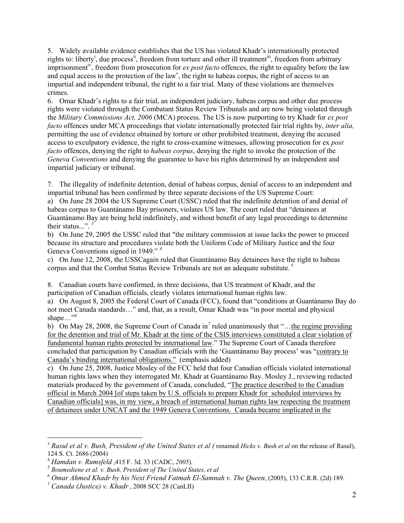5. Widely available evidence establishes that the US has violated Khadr's internationally protected rights to: liberty<sup>i</sup>, due process<sup>ii</sup>, freedom from torture and other ill treatment<sup>iii</sup>, freedom from arbitrary imprisonment<sup>iv</sup>, freedom from prosecution for *ex post facto* offences, the right to equality before the law and equal access to the protection of the law<sup>v</sup>, the right to habeas corpus, the right of access to an impartial and independent tribunal, the right to a fair trial. Many of these violations are themselves crimes.

6. Omar Khadr's rights to a fair trial, an independent judiciary, habeas corpus and other due process rights were violated through the Combatant Status Review Tribunals and are now being violated through the *Military Commissions Act, 2006* (MCA) process. The US is now purporting to try Khadr for *ex post facto* offences under MCA proceedings that violate internationally protected fair trial rights by, *inter alia,*  permitting the use of evidence obtained by torture or other prohibited treatment, denying the accused access to exculpatory evidence, the right to cross-examine witnesses, allowing prosecution for ex *post facto* offences, denying the right to *habeas corpus*, denying the right to invoke the protection of the *Geneva Conventions* and denying the guarantee to have his rights determined by an independent and impartial judiciary or tribunal.

7. The illegality of indefinite detention, denial of habeas corpus, denial of access to an independent and impartial tribunal has been confirmed by three separate decisions of the US Supreme Court:

a) On June 28 2004 the US Supreme Court (USSC) ruled that the indefinite detention of and denial of habeas corpus to Guantánamo Bay prisoners, violates US law. The court ruled that "detainees at Guantánamo Bay are being held indefinitely, and without benefit of any legal proceedings to determine their status...".<sup>3</sup>

b) On June 29, 2005 the USSC ruled that "the military commission at issue lacks the power to proceed because its structure and procedures violate both the Uniform Code of Military Justice and the four Geneva Conventions signed in 1949." *<sup>4</sup>*

c) On June 12, 2008, the USSCagain ruled that Guantánamo Bay detainees have the right to habeas corpus and that the Combat Status Review Tribunals are not an adequate substitute. 5

8. Canadian courts have confirmed, in three decisions, that US treatment of Khadr, and the participation of Canadian officials, clearly violates international human rights law.

a) On August 8, 2005 the Federal Court of Canada (FCC), found that "conditions at Guantánamo Bay do not meet Canada standards…" and, that, as a result, Omar Khadr was "in poor mental and physical shape…"*<sup>6</sup>*

b) On May 28, 2008, the Supreme Court of Canada in<sup>7</sup> ruled unanimously that "...the regime providing for the detention and trial of Mr. Khadr at the time of the CSIS interviews constituted a clear violation of fundamental human rights protected by international law." The Supreme Court of Canada therefore concluded that participation by Canadian officials with the 'Guantánamo Bay process' was "contrary to Canada's binding international obligations." (emphasis added)

c) On June 25, 2008, Justice Mosley of the FCC held that four Canadian officials violated international human rights laws when they interrogated Mr. Khadr at Guantánamo Bay. Mosley J., reviewing redacted materials produced by the government of Canada, concluded, "The practice described to the Canadian official in March 2004 [of steps taken by U.S. officials to prepare Khadr for scheduled interviews by Canadian officials] was, in my view, a breach of international human rights law respecting the treatment of detainees under UNCAT and the 1949 Geneva Conventions. Canada became implicated in the

<sup>3</sup> *Rasul et al v. Bush, President of the United States et al (* renamed *Hicks v. Bush et al* on the release of Rasul), 124 S. Ct. 2686 (2004)<br><sup>4</sup> Hamdan v. Rumsfeld .415 F. 3d. 33 (CADC, 2005).

<sup>&</sup>lt;sup>5</sup> Boumediene et al. v. Bush, President of The United States, et al.

<sup>6</sup> *Omar Ahmed Khadr by his Next Friend Fatmah El-Samnah v. The Queen*, (2005), 133 C.R.R. (2d) 189. 7 *Canada (Justice) v. Khadr* , 2008 SCC 28 (CanLII)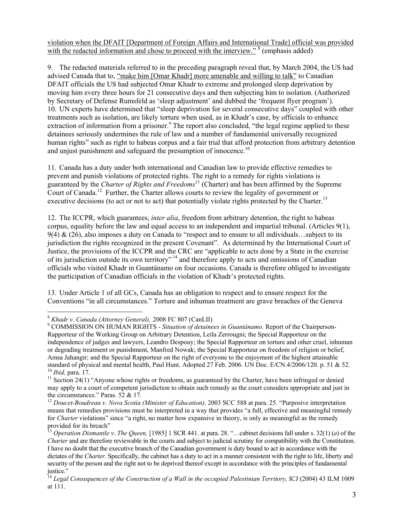violation when the DFAIT [Department of Foreign Affairs and International Trade] official was provided with the redacted information and chose to proceed with the interview."<sup>8</sup> (emphasis added)

9. The redacted materials referred to in the preceding paragraph reveal that, by March 2004, the US had advised Canada that to, "make him [Omar Khadr] more amenable and willing to talk" to Canadian DFAIT officials the US had subjected Omar Khadr to extreme and prolonged sleep deprivation by moving him every three hours for 21 consecutive days and then subjecting him to isolation. (Authorized by Secretary of Defense Rumsfeld as 'sleep adjustment' and dubbed the 'frequent flyer program'). 10. UN experts have determined that "sleep deprivation for several consecutive days" coupled with other treatments such as isolation, are likely torture when used, as in Khadr's case, by officials to enhance extraction of information from a prisoner.<sup>9</sup> The report also concluded, "the legal regime applied to these detainees seriously undermines the rule of law and a number of fundamental universally recognized human rights" such as right to habeas corpus and a fair trial that afford protection from arbitrary detention and unjust punishment and safeguard the presumption of innocence.<sup>10</sup>

11. Canada has a duty under both international and Canadian law to provide effective remedies to prevent and punish violations of protected rights. The right to a remedy for rights violations is guaranteed by the *Charter of Rights and Freedoms*11 (Charter) and has been affirmed by the Supreme Court of Canada.12 Further, the Charter allows courts to review the legality of government or executive decisions (to act or not to act) that potentially violate rights protected by the Charter.<sup>13</sup>

12. The ICCPR, which guarantees, *inter alia*, freedom from arbitrary detention, the right to habeas corpus, equality before the law and equal access to an independent and impartial tribunal. (Articles 9(1),  $9(4)$  & (26), also imposes a duty on Canada to "respect and to ensure to all individuals...subject to its jurisdiction the rights recognized in the present Covenant". As determined by the International Court of Justice, the provisions of the ICCPR and the CRC are "applicable to acts done by a State in the exercise of its jurisdiction outside its own territory"<sup>14</sup> and therefore apply to acts and omissions of Canadian officials who visited Khadr in Guantánamo on four occasions. Canada is therefore obliged to investigate the participation of Canadian officials in the violation of Khadr's protected rights.

13. Under Article 1 of all GCs, Canada has an obligation to respect and to ensure respect for the Conventions "in all circumstances." Torture and inhuman treatment are grave breaches of the Geneva

<sup>8</sup> *Khadr v. Canada (Attorney General),* 2008 FC 807 (CanLII) 9

COMMISSION ON HUMAN RIGHTS - *Situation of detainees in Guantánamo.* Report of the Chairperson-Rapporteur of the Working Group on Arbitrary Detention, Leila Zerrougni; the Special Rapporteur on the independence of judges and lawyers, Leandro Despouy; the Special Rapporteur on torture and other cruel, inhuman or degrading treatment or punishment, Manfred Nowak; the Special Rapporteur on freedom of religion or belief, Amsa Jahangir; and the Special Rapporteur on the right of everyone to the enjoyment of the highest attainable standard of physical and mental health, Paul Hunt. Adopted 27 Feb. 2006. UN Doc. E/CN.4/2006/120. p. 51 & 52.<br><sup>10</sup> *Ibid.* para. 17.

<sup>&</sup>lt;sup>11</sup> Section 24(1) "Anyone whose rights or freedoms, as guaranteed by the Charter, have been infringed or denied may apply to a court of competent jurisdiction to obtain such remedy as the court considers appropriate and just in the circumstances." Paras. 52 & 17.

<sup>&</sup>lt;sup>12</sup> Doucet-Boudreau v. Nova Scotia (Minister of Education), 2003 SCC 588 at para. 25. "Purposive interpretation means that remedies provisions must be interpreted in a way that provides "a full, effective and meaningful remedy for *Charter* violations" since "a right, no matter how expansive in theory, is only as meaningful as the remedy provided for its breach"<br><sup>13</sup> Operation Direct and Theory is only as the remedy

<sup>&</sup>lt;sup>3</sup> Operation Dismantle v. The Queen, [1985] 1 SCR 441. at para. 28. "…cabinet decisions fall under s. 32(1) (*a*) of the *Charter* and are therefore reviewable in the courts and subject to judicial scrutiny for compatibility with the Constitution. I have no doubt that the executive branch of the Canadian government is duty bound to act in accordance with the dictates of the *Charter*. Specifically, the cabinet has a duty to act in a manner consistent with the right to life, liberty and security of the person and the right not to be deprived thereof except in accordance with the principles of fundamental justice."

<sup>&</sup>lt;sup>14</sup> Legal Consequences of the Construction of a Wall in the occupied Palestinian Territory, ICJ (2004) 43 ILM 1009 at 111.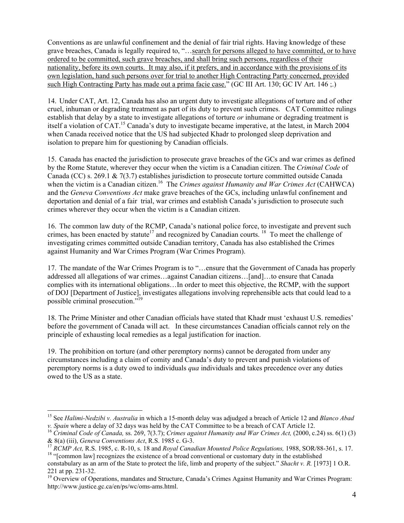Conventions as are unlawful confinement and the denial of fair trial rights. Having knowledge of these grave breaches, Canada is legally required to, "…search for persons alleged to have committed, or to have ordered to be committed, such grave breaches, and shall bring such persons, regardless of their nationality, before its own courts. It may also, if it prefers, and in accordance with the provisions of its own legislation, hand such persons over for trial to another High Contracting Party concerned, provided such High Contracting Party has made out a prima facie case." (GC III Art. 130; GC IV Art. 146 ;.)

14. Under CAT, Art. 12, Canada has also an urgent duty to investigate allegations of torture and of other cruel, inhuman or degrading treatment as part of its duty to prevent such crimes. CAT Committee rulings establish that delay by a state to investigate allegations of torture *or* inhumane or degrading treatment is itself a violation of CAT.<sup>15</sup> Canada's duty to investigate became imperative, at the latest, in March 2004 when Canada received notice that the US had subjected Khadr to prolonged sleep deprivation and isolation to prepare him for questioning by Canadian officials.

15. Canada has enacted the jurisdiction to prosecute grave breaches of the GCs and war crimes as defined by the Rome Statute, wherever they occur when the victim is a Canadian citizen. The *Criminal Code* of Canada (CC) s. 269.1 & 7(3.7) establishes jurisdiction to prosecute torture committed outside Canada when the victim is a Canadian citizen.<sup>16</sup> The *Crimes against Humanity and War Crimes Act* (CAHWCA) and the *Geneva Conventions Act* make grave breaches of the GCs, including unlawful confinement and deportation and denial of a fair trial, war crimes and establish Canada's jurisdiction to prosecute such crimes wherever they occur when the victim is a Canadian citizen.

16. The common law duty of the RCMP, Canada's national police force, to investigate and prevent such crimes, has been enacted by statute<sup>17</sup> and recognized by Canadian courts. <sup>18</sup> To meet the challenge of investigating crimes committed outside Canadian territory, Canada has also established the Crimes against Humanity and War Crimes Program (War Crimes Program).

17. The mandate of the War Crimes Program is to "…ensure that the Government of Canada has properly addressed all allegations of war crimes…against Canadian citizens…[and]…to ensure that Canada complies with its international obligations…In order to meet this objective, the RCMP, with the support of DOJ [Department of Justice], investigates allegations involving reprehensible acts that could lead to a possible criminal prosecution."19

18. The Prime Minister and other Canadian officials have stated that Khadr must 'exhaust U.S. remedies' before the government of Canada will act. In these circumstances Canadian officials cannot rely on the principle of exhausting local remedies as a legal justification for inaction.

19. The prohibition on torture (and other peremptory norms) cannot be derogated from under any circumstances including a claim of comity and Canada's duty to prevent and punish violations of peremptory norms is a duty owed to individuals *qua* individuals and takes precedence over any duties owed to the US as a state.

<sup>&</sup>lt;sup>15</sup> See *Halimi-Nedzibi v. Australia* in which a 15-month delay was adjudged a breach of Article 12 and *Blanco Abad v. Spain* where a delay of 32 days was held by the CAT Committee to be a breach of CAT Article 12.

<sup>&</sup>lt;sup>16</sup> Criminal Code of Canada, ss. 269, 7(3.7); Crimes against Humanity and War Crimes Act, (2000, c.24) ss. 6(1) (3) & 8(a) (iii), Geneva Conventions Act, R.S. 1985 c. G-3.

<sup>&</sup>lt;sup>17</sup> RCMP Act, R.S. 1985, c. R-10, s. 18 and *Royal Canadian Mounted Police Regulations*, 1988, SOR/88-361, s. 17.<br><sup>18</sup> "[common law] recognizes the existence of a broad conventional or customary duty in the established

constabulary as an arm of the State to protect the life, limb and property of the subject." *Shacht v. R.* [1973] 1 O.R. 221 at pp. 231-32.

<sup>&</sup>lt;sup>19</sup> Overview of Operations, mandates and Structure, Canada's Crimes Against Humanity and War Crimes Program: http://www.justice.gc.ca/en/ps/wc/oms-ams.html.